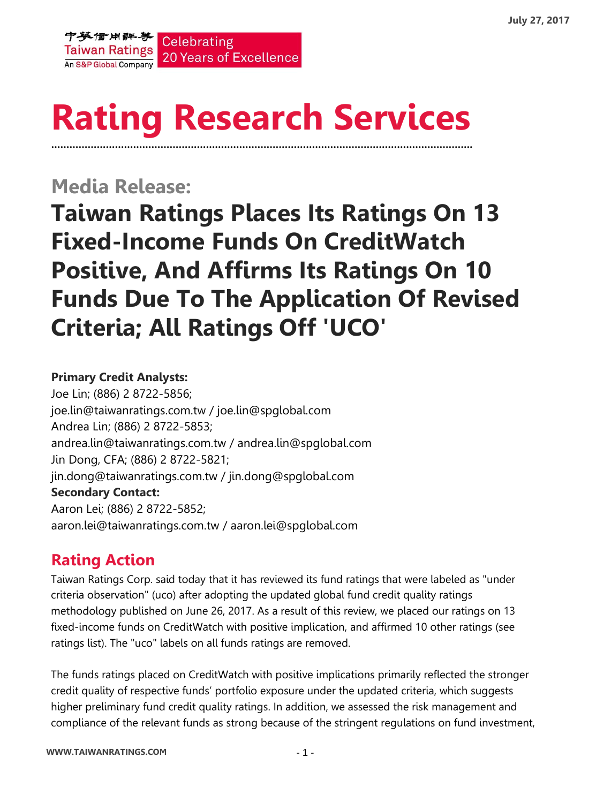

# **Rating Research Services ………………………………………………………………………………………………………………………….**

**Media Release:**

**Taiwan Ratings Places Its Ratings On 13 Fixed-Income Funds On CreditWatch Positive, And Affirms Its Ratings On 10 Funds Due To The Application Of Revised Criteria; All Ratings Off 'UCO'**

#### **Primary Credit Analysts:**

Joe Lin; (886) 2 8722-5856; joe.lin@taiwanratings.com.tw / joe.lin@spglobal.com Andrea Lin; (886) 2 8722-5853; andrea.lin@taiwanratings.com.tw / [andrea.lin@spglobal.com](mailto:andrea.lin@spglobal.com) Jin Dong, CFA; (886) 2 8722-5821; jin.dong@taiwanratings.com.tw / jin.don[g@spglobal.com](mailto:andrea.lin@spglobal.com) **Secondary Contact:** Aaron Lei; (886) 2 8722-5852; aaron.lei@taiwanratings.com.tw / aaron.lei@spglobal.com

# **Rating Action**

Taiwan Ratings Corp. said today that it has reviewed its fund ratings that were labeled as "under criteria observation" (uco) after adopting the updated global fund credit quality ratings methodology published on June 26, 2017. As a result of this review, we placed our ratings on 13 fixed-income funds on CreditWatch with positive implication, and affirmed 10 other ratings (see ratings list). The "uco" labels on all funds ratings are removed.

The funds ratings placed on CreditWatch with positive implications primarily reflected the stronger credit quality of respective funds' portfolio exposure under the updated criteria, which suggests higher preliminary fund credit quality ratings. In addition, we assessed the risk management and compliance of the relevant funds as strong because of the stringent regulations on fund investment,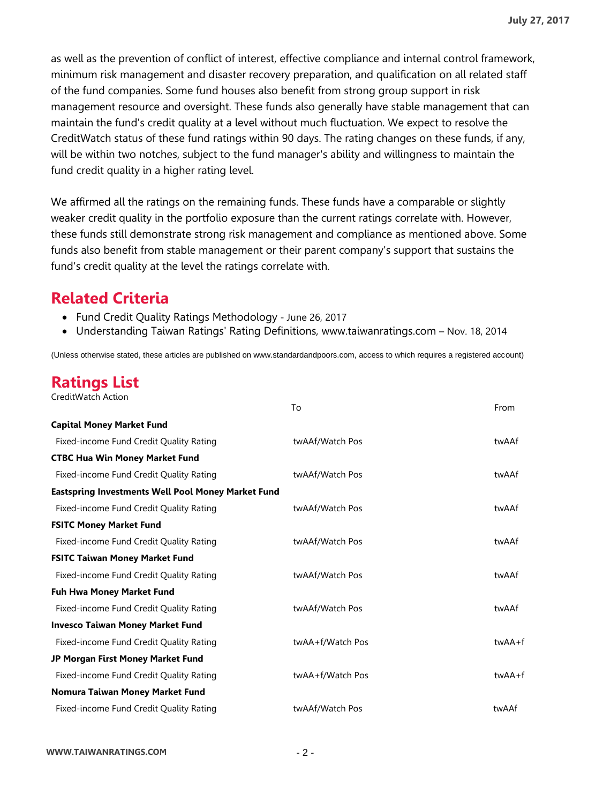as well as the prevention of conflict of interest, effective compliance and internal control framework, minimum risk management and disaster recovery preparation, and qualification on all related staff of the fund companies. Some fund houses also benefit from strong group support in risk management resource and oversight. These funds also generally have stable management that can maintain the fund's credit quality at a level without much fluctuation. We expect to resolve the CreditWatch status of these fund ratings within 90 days. The rating changes on these funds, if any, will be within two notches, subject to the fund manager's ability and willingness to maintain the fund credit quality in a higher rating level.

We affirmed all the ratings on the remaining funds. These funds have a comparable or slightly weaker credit quality in the portfolio exposure than the current ratings correlate with. However, these funds still demonstrate strong risk management and compliance as mentioned above. Some funds also benefit from stable management or their parent company's support that sustains the fund's credit quality at the level the ratings correlate with.

### **Related Criteria**

- Fund Credit Quality Ratings Methodology June 26, 2017
- Understanding Taiwan Ratings' Rating Definitions, www.taiwanratings.com Nov. 18, 2014

(Unless otherwise stated, these articles are published on www.standardandpoors.com, access to which requires a registered account)

## **Ratings List**

| CreditWatch Action |  |
|--------------------|--|

|                                                           | To               | From       |
|-----------------------------------------------------------|------------------|------------|
| <b>Capital Money Market Fund</b>                          |                  |            |
| Fixed-income Fund Credit Quality Rating                   | twAAf/Watch Pos  | twAAf      |
| <b>CTBC Hua Win Money Market Fund</b>                     |                  |            |
| Fixed-income Fund Credit Quality Rating                   | twAAf/Watch Pos  | twAAf      |
| <b>Eastspring Investments Well Pool Money Market Fund</b> |                  |            |
| Fixed-income Fund Credit Quality Rating                   | twAAf/Watch Pos  | twAAf      |
| <b>FSITC Money Market Fund</b>                            |                  |            |
| Fixed-income Fund Credit Quality Rating                   | twAAf/Watch Pos  | twAAf      |
| <b>FSITC Taiwan Money Market Fund</b>                     |                  |            |
| Fixed-income Fund Credit Quality Rating                   | twAAf/Watch Pos  | twAAf      |
| <b>Fuh Hwa Money Market Fund</b>                          |                  |            |
| Fixed-income Fund Credit Quality Rating                   | twAAf/Watch Pos  | twAAf      |
| <b>Invesco Taiwan Money Market Fund</b>                   |                  |            |
| Fixed-income Fund Credit Quality Rating                   | twAA+f/Watch Pos | twAA+f     |
| JP Morgan First Money Market Fund                         |                  |            |
| Fixed-income Fund Credit Quality Rating                   | twAA+f/Watch Pos | $twAA + f$ |
| Nomura Taiwan Money Market Fund                           |                  |            |
| Fixed-income Fund Credit Quality Rating                   | twAAf/Watch Pos  | twAAf      |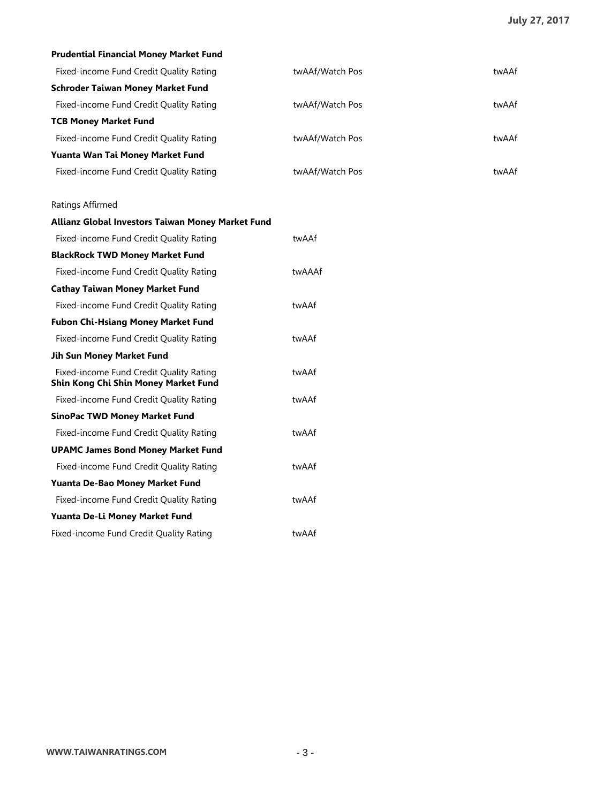| Prudential Financial Money Market Fund                                          |                 |       |
|---------------------------------------------------------------------------------|-----------------|-------|
| Fixed-income Fund Credit Quality Rating                                         | twAAf/Watch Pos | twAAf |
| <b>Schroder Taiwan Money Market Fund</b>                                        |                 |       |
| Fixed-income Fund Credit Quality Rating                                         | twAAf/Watch Pos | twAAf |
| <b>TCB Money Market Fund</b>                                                    |                 |       |
| Fixed-income Fund Credit Quality Rating                                         | twAAf/Watch Pos | twAAf |
| Yuanta Wan Tai Money Market Fund                                                |                 |       |
| Fixed-income Fund Credit Quality Rating                                         | twAAf/Watch Pos | twAAf |
| Ratings Affirmed                                                                |                 |       |
| Allianz Global Investors Taiwan Money Market Fund                               |                 |       |
| Fixed-income Fund Credit Quality Rating                                         | twAAf           |       |
| <b>BlackRock TWD Money Market Fund</b>                                          |                 |       |
| Fixed-income Fund Credit Quality Rating                                         | twAAAf          |       |
| <b>Cathay Taiwan Money Market Fund</b>                                          |                 |       |
| Fixed-income Fund Credit Quality Rating                                         | twAAf           |       |
| <b>Fubon Chi-Hsiang Money Market Fund</b>                                       |                 |       |
| Fixed-income Fund Credit Quality Rating                                         | twAAf           |       |
| Jih Sun Money Market Fund                                                       |                 |       |
| Fixed-income Fund Credit Quality Rating<br>Shin Kong Chi Shin Money Market Fund | twAAf           |       |
| Fixed-income Fund Credit Quality Rating                                         | twAAf           |       |
| <b>SinoPac TWD Money Market Fund</b>                                            |                 |       |
| Fixed-income Fund Credit Quality Rating                                         | twAAf           |       |
| <b>UPAMC James Bond Money Market Fund</b>                                       |                 |       |
| Fixed-income Fund Credit Quality Rating                                         | twAAf           |       |
| Yuanta De-Bao Money Market Fund                                                 |                 |       |
| Fixed-income Fund Credit Quality Rating                                         | twAAf           |       |
| Yuanta De-Li Money Market Fund                                                  |                 |       |
| Fixed-income Fund Credit Quality Rating                                         | twAAf           |       |